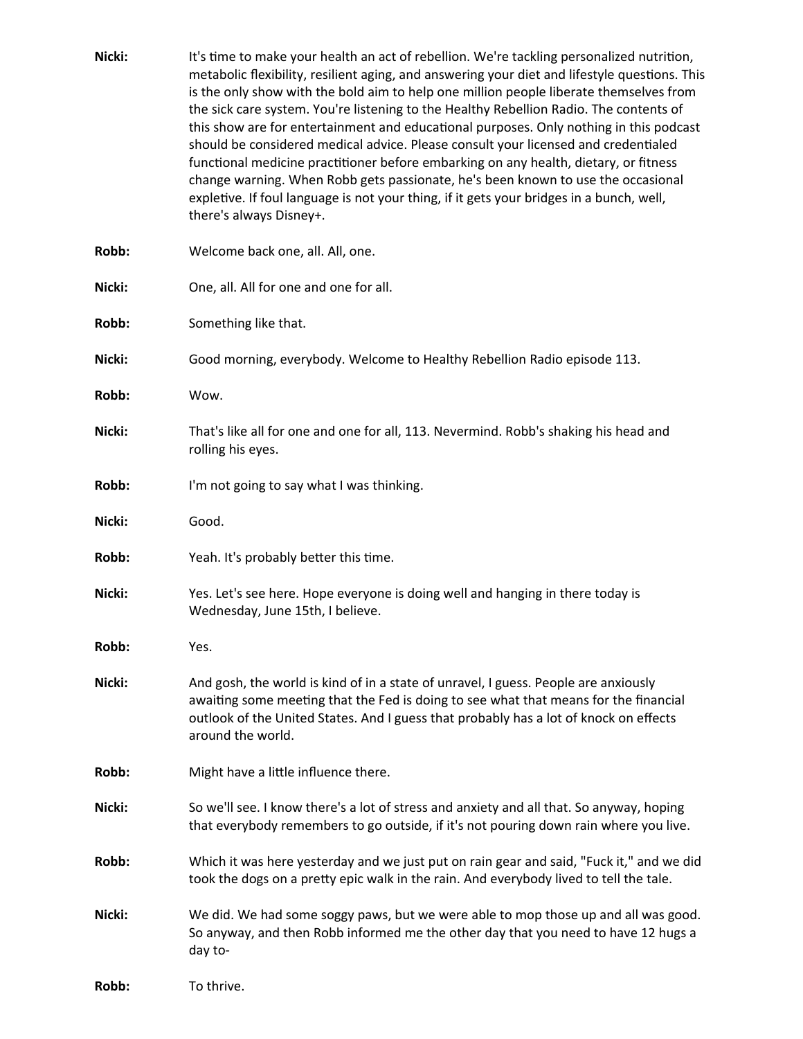| Nicki: | It's time to make your health an act of rebellion. We're tackling personalized nutrition,<br>metabolic flexibility, resilient aging, and answering your diet and lifestyle questions. This<br>is the only show with the bold aim to help one million people liberate themselves from<br>the sick care system. You're listening to the Healthy Rebellion Radio. The contents of<br>this show are for entertainment and educational purposes. Only nothing in this podcast<br>should be considered medical advice. Please consult your licensed and credentialed<br>functional medicine practitioner before embarking on any health, dietary, or fitness<br>change warning. When Robb gets passionate, he's been known to use the occasional<br>expletive. If foul language is not your thing, if it gets your bridges in a bunch, well,<br>there's always Disney+. |
|--------|-------------------------------------------------------------------------------------------------------------------------------------------------------------------------------------------------------------------------------------------------------------------------------------------------------------------------------------------------------------------------------------------------------------------------------------------------------------------------------------------------------------------------------------------------------------------------------------------------------------------------------------------------------------------------------------------------------------------------------------------------------------------------------------------------------------------------------------------------------------------|
| Robb:  | Welcome back one, all. All, one.                                                                                                                                                                                                                                                                                                                                                                                                                                                                                                                                                                                                                                                                                                                                                                                                                                  |
| Nicki: | One, all. All for one and one for all.                                                                                                                                                                                                                                                                                                                                                                                                                                                                                                                                                                                                                                                                                                                                                                                                                            |
| Robb:  | Something like that.                                                                                                                                                                                                                                                                                                                                                                                                                                                                                                                                                                                                                                                                                                                                                                                                                                              |
| Nicki: | Good morning, everybody. Welcome to Healthy Rebellion Radio episode 113.                                                                                                                                                                                                                                                                                                                                                                                                                                                                                                                                                                                                                                                                                                                                                                                          |
| Robb:  | Wow.                                                                                                                                                                                                                                                                                                                                                                                                                                                                                                                                                                                                                                                                                                                                                                                                                                                              |
| Nicki: | That's like all for one and one for all, 113. Nevermind. Robb's shaking his head and<br>rolling his eyes.                                                                                                                                                                                                                                                                                                                                                                                                                                                                                                                                                                                                                                                                                                                                                         |
| Robb:  | I'm not going to say what I was thinking.                                                                                                                                                                                                                                                                                                                                                                                                                                                                                                                                                                                                                                                                                                                                                                                                                         |
| Nicki: | Good.                                                                                                                                                                                                                                                                                                                                                                                                                                                                                                                                                                                                                                                                                                                                                                                                                                                             |
| Robb:  | Yeah. It's probably better this time.                                                                                                                                                                                                                                                                                                                                                                                                                                                                                                                                                                                                                                                                                                                                                                                                                             |
| Nicki: | Yes. Let's see here. Hope everyone is doing well and hanging in there today is<br>Wednesday, June 15th, I believe.                                                                                                                                                                                                                                                                                                                                                                                                                                                                                                                                                                                                                                                                                                                                                |
| Robb:  | Yes.                                                                                                                                                                                                                                                                                                                                                                                                                                                                                                                                                                                                                                                                                                                                                                                                                                                              |
| Nicki: | And gosh, the world is kind of in a state of unravel, I guess. People are anxiously<br>awaiting some meeting that the Fed is doing to see what that means for the financial<br>outlook of the United States. And I guess that probably has a lot of knock on effects<br>around the world.                                                                                                                                                                                                                                                                                                                                                                                                                                                                                                                                                                         |
| Robb:  | Might have a little influence there.                                                                                                                                                                                                                                                                                                                                                                                                                                                                                                                                                                                                                                                                                                                                                                                                                              |
| Nicki: | So we'll see. I know there's a lot of stress and anxiety and all that. So anyway, hoping<br>that everybody remembers to go outside, if it's not pouring down rain where you live.                                                                                                                                                                                                                                                                                                                                                                                                                                                                                                                                                                                                                                                                                 |
| Robb:  | Which it was here yesterday and we just put on rain gear and said, "Fuck it," and we did<br>took the dogs on a pretty epic walk in the rain. And everybody lived to tell the tale.                                                                                                                                                                                                                                                                                                                                                                                                                                                                                                                                                                                                                                                                                |
| Nicki: | We did. We had some soggy paws, but we were able to mop those up and all was good.<br>So anyway, and then Robb informed me the other day that you need to have 12 hugs a<br>day to-                                                                                                                                                                                                                                                                                                                                                                                                                                                                                                                                                                                                                                                                               |
| Robb:  | To thrive.                                                                                                                                                                                                                                                                                                                                                                                                                                                                                                                                                                                                                                                                                                                                                                                                                                                        |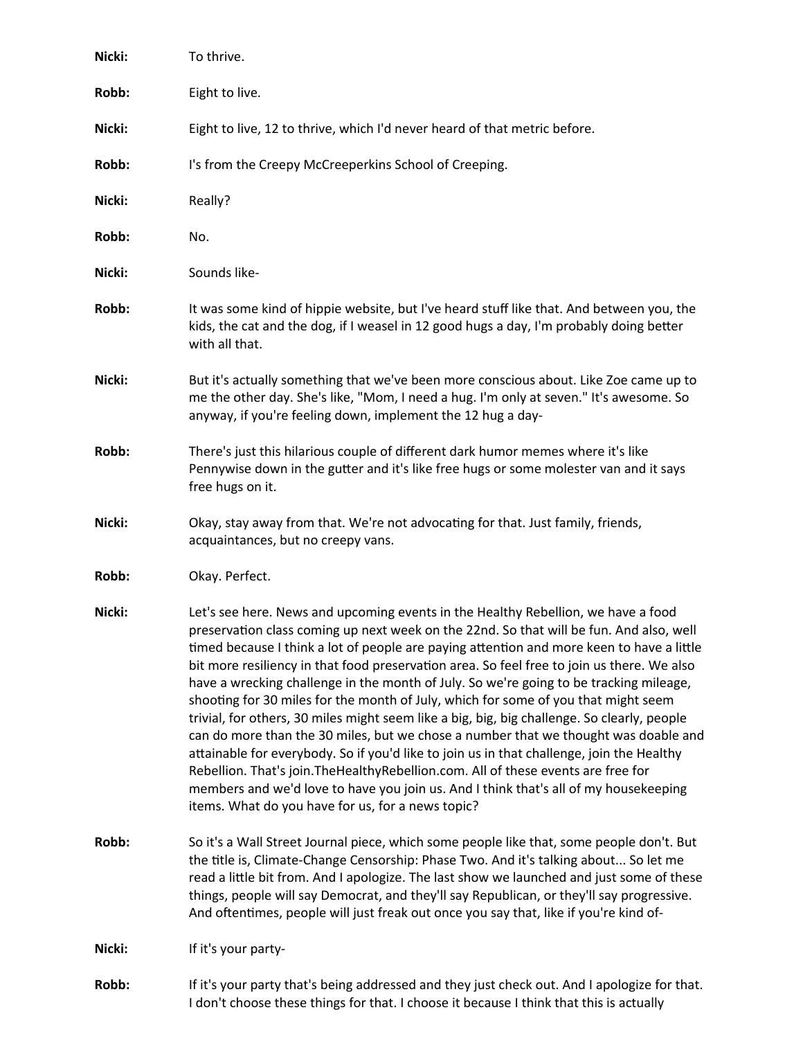| Nicki: | To thrive.                                                                                                                                                                                                                                                                                                                                                                                                                                                                                                                                                                                                                                                                                                                                                                                                                                                                                                                                                                                                                                                                     |
|--------|--------------------------------------------------------------------------------------------------------------------------------------------------------------------------------------------------------------------------------------------------------------------------------------------------------------------------------------------------------------------------------------------------------------------------------------------------------------------------------------------------------------------------------------------------------------------------------------------------------------------------------------------------------------------------------------------------------------------------------------------------------------------------------------------------------------------------------------------------------------------------------------------------------------------------------------------------------------------------------------------------------------------------------------------------------------------------------|
| Robb:  | Eight to live.                                                                                                                                                                                                                                                                                                                                                                                                                                                                                                                                                                                                                                                                                                                                                                                                                                                                                                                                                                                                                                                                 |
| Nicki: | Eight to live, 12 to thrive, which I'd never heard of that metric before.                                                                                                                                                                                                                                                                                                                                                                                                                                                                                                                                                                                                                                                                                                                                                                                                                                                                                                                                                                                                      |
| Robb:  | I's from the Creepy McCreeperkins School of Creeping.                                                                                                                                                                                                                                                                                                                                                                                                                                                                                                                                                                                                                                                                                                                                                                                                                                                                                                                                                                                                                          |
| Nicki: | Really?                                                                                                                                                                                                                                                                                                                                                                                                                                                                                                                                                                                                                                                                                                                                                                                                                                                                                                                                                                                                                                                                        |
| Robb:  | No.                                                                                                                                                                                                                                                                                                                                                                                                                                                                                                                                                                                                                                                                                                                                                                                                                                                                                                                                                                                                                                                                            |
| Nicki: | Sounds like-                                                                                                                                                                                                                                                                                                                                                                                                                                                                                                                                                                                                                                                                                                                                                                                                                                                                                                                                                                                                                                                                   |
| Robb:  | It was some kind of hippie website, but I've heard stuff like that. And between you, the<br>kids, the cat and the dog, if I weasel in 12 good hugs a day, I'm probably doing better<br>with all that.                                                                                                                                                                                                                                                                                                                                                                                                                                                                                                                                                                                                                                                                                                                                                                                                                                                                          |
| Nicki: | But it's actually something that we've been more conscious about. Like Zoe came up to<br>me the other day. She's like, "Mom, I need a hug. I'm only at seven." It's awesome. So<br>anyway, if you're feeling down, implement the 12 hug a day-                                                                                                                                                                                                                                                                                                                                                                                                                                                                                                                                                                                                                                                                                                                                                                                                                                 |
| Robb:  | There's just this hilarious couple of different dark humor memes where it's like<br>Pennywise down in the gutter and it's like free hugs or some molester van and it says<br>free hugs on it.                                                                                                                                                                                                                                                                                                                                                                                                                                                                                                                                                                                                                                                                                                                                                                                                                                                                                  |
| Nicki: | Okay, stay away from that. We're not advocating for that. Just family, friends,<br>acquaintances, but no creepy vans.                                                                                                                                                                                                                                                                                                                                                                                                                                                                                                                                                                                                                                                                                                                                                                                                                                                                                                                                                          |
| Robb:  | Okay. Perfect.                                                                                                                                                                                                                                                                                                                                                                                                                                                                                                                                                                                                                                                                                                                                                                                                                                                                                                                                                                                                                                                                 |
| Nicki: | Let's see here. News and upcoming events in the Healthy Rebellion, we have a food<br>preservation class coming up next week on the 22nd. So that will be fun. And also, well<br>timed because I think a lot of people are paying attention and more keen to have a little<br>bit more resiliency in that food preservation area. So feel free to join us there. We also<br>have a wrecking challenge in the month of July. So we're going to be tracking mileage,<br>shooting for 30 miles for the month of July, which for some of you that might seem<br>trivial, for others, 30 miles might seem like a big, big, big challenge. So clearly, people<br>can do more than the 30 miles, but we chose a number that we thought was doable and<br>attainable for everybody. So if you'd like to join us in that challenge, join the Healthy<br>Rebellion. That's join. The Healthy Rebellion.com. All of these events are free for<br>members and we'd love to have you join us. And I think that's all of my housekeeping<br>items. What do you have for us, for a news topic? |
| Robb:  | So it's a Wall Street Journal piece, which some people like that, some people don't. But<br>the title is, Climate-Change Censorship: Phase Two. And it's talking about So let me<br>read a little bit from. And I apologize. The last show we launched and just some of these<br>things, people will say Democrat, and they'll say Republican, or they'll say progressive.<br>And oftentimes, people will just freak out once you say that, like if you're kind of-                                                                                                                                                                                                                                                                                                                                                                                                                                                                                                                                                                                                            |
| Nicki: | If it's your party-                                                                                                                                                                                                                                                                                                                                                                                                                                                                                                                                                                                                                                                                                                                                                                                                                                                                                                                                                                                                                                                            |
| Robb:  | If it's your party that's being addressed and they just check out. And I apologize for that.<br>I don't choose these things for that. I choose it because I think that this is actually                                                                                                                                                                                                                                                                                                                                                                                                                                                                                                                                                                                                                                                                                                                                                                                                                                                                                        |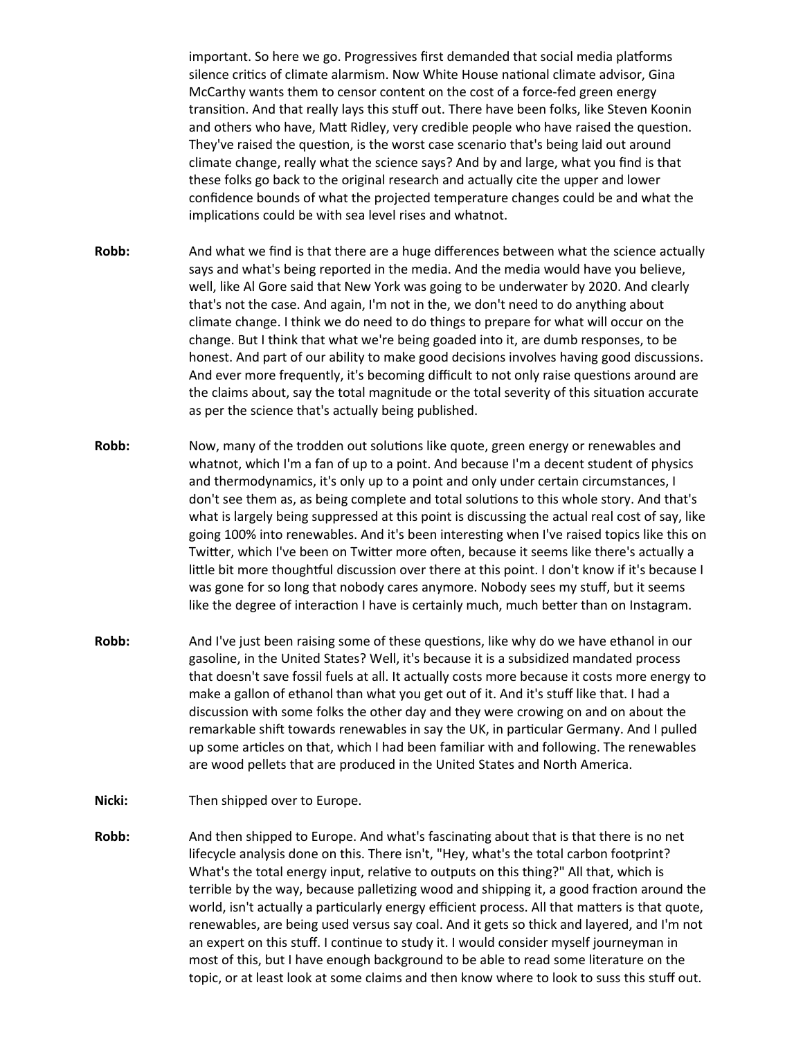important. So here we go. Progressives first demanded that social media platforms silence critics of climate alarmism. Now White House national climate advisor, Gina McCarthy wants them to censor content on the cost of a force-fed green energy transition. And that really lays this stuff out. There have been folks, like Steven Koonin and others who have, Matt Ridley, very credible people who have raised the question. They've raised the question, is the worst case scenario that's being laid out around climate change, really what the science says? And by and large, what you find is that these folks go back to the original research and actually cite the upper and lower confidence bounds of what the projected temperature changes could be and what the implications could be with sea level rises and whatnot.

- **Robb:** And what we find is that there are a huge differences between what the science actually says and what's being reported in the media. And the media would have you believe, well, like Al Gore said that New York was going to be underwater by 2020. And clearly that's not the case. And again, I'm not in the, we don't need to do anything about climate change. I think we do need to do things to prepare for what will occur on the change. But I think that what we're being goaded into it, are dumb responses, to be honest. And part of our ability to make good decisions involves having good discussions. And ever more frequently, it's becoming difficult to not only raise questions around are the claims about, say the total magnitude or the total severity of this situation accurate as per the science that's actually being published.
- **Robb:** Now, many of the trodden out solutions like quote, green energy or renewables and whatnot, which I'm a fan of up to a point. And because I'm a decent student of physics and thermodynamics, it's only up to a point and only under certain circumstances, I don't see them as, as being complete and total solutions to this whole story. And that's what is largely being suppressed at this point is discussing the actual real cost of say, like going 100% into renewables. And it's been interesting when I've raised topics like this on Twitter, which I've been on Twitter more often, because it seems like there's actually a little bit more thoughtful discussion over there at this point. I don't know if it's because I was gone for so long that nobody cares anymore. Nobody sees my stuff, but it seems like the degree of interaction I have is certainly much, much better than on Instagram.
- **Robb:** And I've just been raising some of these questions, like why do we have ethanol in our gasoline, in the United States? Well, it's because it is a subsidized mandated process that doesn't save fossil fuels at all. It actually costs more because it costs more energy to make a gallon of ethanol than what you get out of it. And it's stuff like that. I had a discussion with some folks the other day and they were crowing on and on about the remarkable shift towards renewables in say the UK, in particular Germany. And I pulled up some articles on that, which I had been familiar with and following. The renewables are wood pellets that are produced in the United States and North America.
- Nicki: Then shipped over to Europe.
- **Robb:** And then shipped to Europe. And what's fascinating about that is that there is no net lifecycle analysis done on this. There isn't, "Hey, what's the total carbon footprint? What's the total energy input, relative to outputs on this thing?" All that, which is terrible by the way, because palletizing wood and shipping it, a good fraction around the world, isn't actually a particularly energy efficient process. All that matters is that quote, renewables, are being used versus say coal. And it gets so thick and layered, and I'm not an expert on this stuff. I continue to study it. I would consider myself journeyman in most of this, but I have enough background to be able to read some literature on the topic, or at least look at some claims and then know where to look to suss this stuff out.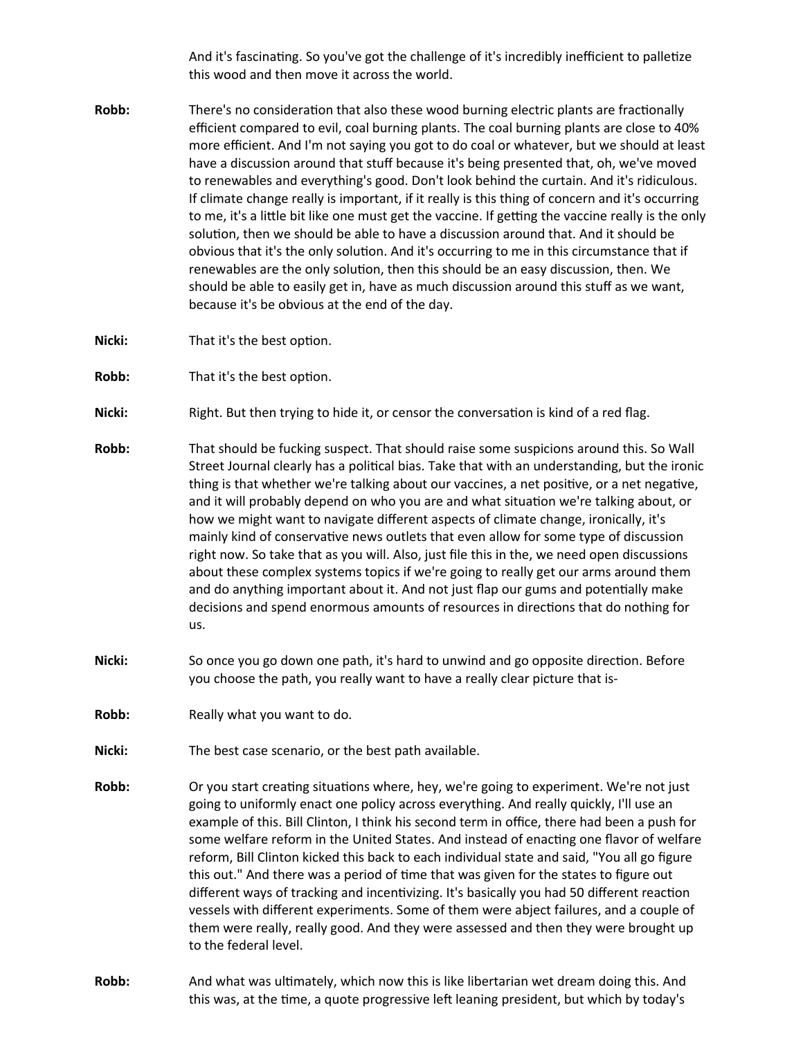And it's fascinating. So you've got the challenge of it's incredibly inefficient to palletize this wood and then move it across the world.

- **Robb:** There's no consideration that also these wood burning electric plants are fractionally efficient compared to evil, coal burning plants. The coal burning plants are close to 40% more efficient. And I'm not saying you got to do coal or whatever, but we should at least have a discussion around that stuff because it's being presented that, oh, we've moved to renewables and everything's good. Don't look behind the curtain. And it's ridiculous. If climate change really is important, if it really is this thing of concern and it's occurring to me, it's a little bit like one must get the vaccine. If getting the vaccine really is the only solution, then we should be able to have a discussion around that. And it should be obvious that it's the only solution. And it's occurring to me in this circumstance that if renewables are the only solution, then this should be an easy discussion, then. We should be able to easily get in, have as much discussion around this stuff as we want, because it's be obvious at the end of the day.
- **Nicki:** That it's the best option.
- **Robb:** That it's the best option.
- Nicki: Right. But then trying to hide it, or censor the conversation is kind of a red flag.
- **Robb:** That should be fucking suspect. That should raise some suspicions around this. So Wall Street Journal clearly has a political bias. Take that with an understanding, but the ironic thing is that whether we're talking about our vaccines, a net positive, or a net negative, and it will probably depend on who you are and what situation we're talking about, or how we might want to navigate different aspects of climate change, ironically, it's mainly kind of conservative news outlets that even allow for some type of discussion right now. So take that as you will. Also, just file this in the, we need open discussions about these complex systems topics if we're going to really get our arms around them and do anything important about it. And not just flap our gums and potentially make decisions and spend enormous amounts of resources in directions that do nothing for us.
- **Nicki:** So once you go down one path, it's hard to unwind and go opposite direction. Before you choose the path, you really want to have a really clear picture that is-
- **Robb:** Really what you want to do.
- **Nicki:** The best case scenario, or the best path available.
- **Robb:** Or you start creating situations where, hey, we're going to experiment. We're not just going to uniformly enact one policy across everything. And really quickly, I'll use an example of this. Bill Clinton, I think his second term in office, there had been a push for some welfare reform in the United States. And instead of enacting one flavor of welfare reform, Bill Clinton kicked this back to each individual state and said, "You all go figure this out." And there was a period of time that was given for the states to figure out different ways of tracking and incentivizing. It's basically you had 50 different reaction vessels with different experiments. Some of them were abject failures, and a couple of them were really, really good. And they were assessed and then they were brought up to the federal level.
- **Robb:** And what was ultimately, which now this is like libertarian wet dream doing this. And this was, at the time, a quote progressive left leaning president, but which by today's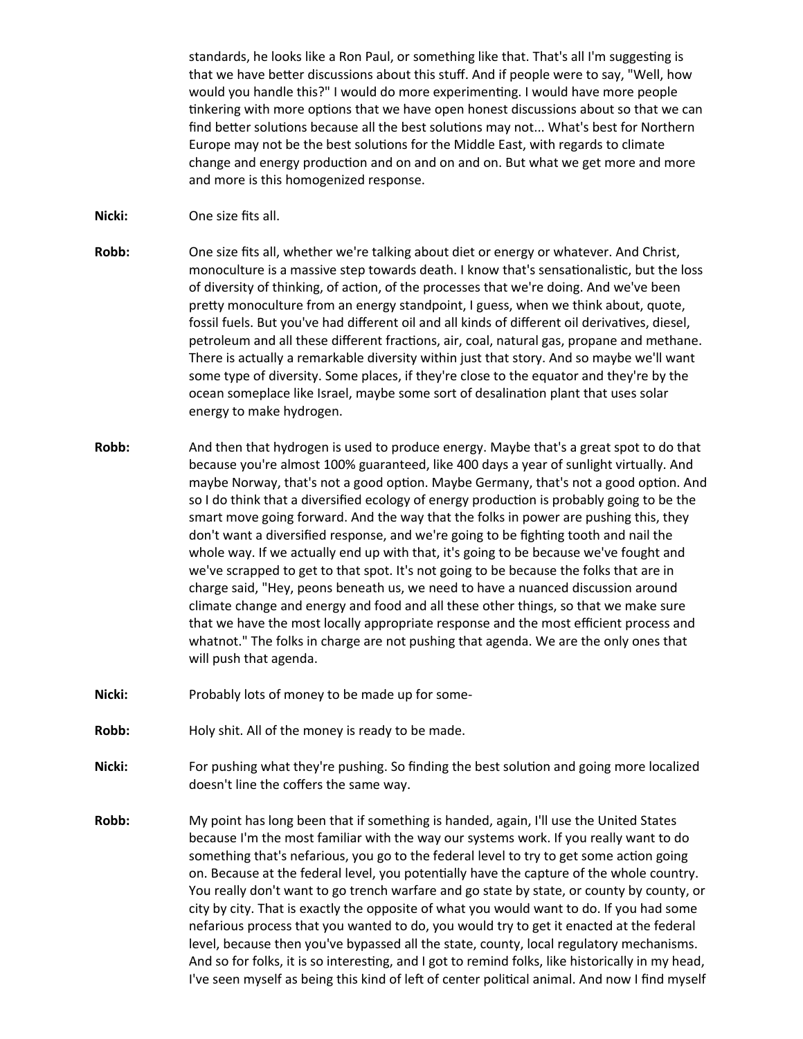standards, he looks like a Ron Paul, or something like that. That's all I'm suggesting is that we have better discussions about this stuff. And if people were to say, "Well, how would you handle this?" I would do more experimenting. I would have more people tinkering with more options that we have open honest discussions about so that we can find better solutions because all the best solutions may not... What's best for Northern Europe may not be the best solutions for the Middle East, with regards to climate change and energy production and on and on and on. But what we get more and more and more is this homogenized response.

- **Nicki:** One size fits all.
- **Robb:** One size fits all, whether we're talking about diet or energy or whatever. And Christ, monoculture is a massive step towards death. I know that's sensationalistic, but the loss of diversity of thinking, of action, of the processes that we're doing. And we've been pretty monoculture from an energy standpoint, I guess, when we think about, quote, fossil fuels. But you've had different oil and all kinds of different oil derivatives, diesel, petroleum and all these different fractions, air, coal, natural gas, propane and methane. There is actually a remarkable diversity within just that story. And so maybe we'll want some type of diversity. Some places, if they're close to the equator and they're by the ocean someplace like Israel, maybe some sort of desalination plant that uses solar energy to make hydrogen.
- **Robb:** And then that hydrogen is used to produce energy. Maybe that's a great spot to do that because you're almost 100% guaranteed, like 400 days a year of sunlight virtually. And maybe Norway, that's not a good option. Maybe Germany, that's not a good option. And so I do think that a diversified ecology of energy production is probably going to be the smart move going forward. And the way that the folks in power are pushing this, they don't want a diversified response, and we're going to be fighting tooth and nail the whole way. If we actually end up with that, it's going to be because we've fought and we've scrapped to get to that spot. It's not going to be because the folks that are in charge said, "Hey, peons beneath us, we need to have a nuanced discussion around climate change and energy and food and all these other things, so that we make sure that we have the most locally appropriate response and the most efficient process and whatnot." The folks in charge are not pushing that agenda. We are the only ones that will push that agenda.
- Nicki: Probably lots of money to be made up for some-
- **Robb:** Holy shit. All of the money is ready to be made.
- **Nicki:** For pushing what they're pushing. So finding the best solution and going more localized doesn't line the coffers the same way.
- **Robb:** My point has long been that if something is handed, again, I'll use the United States because I'm the most familiar with the way our systems work. If you really want to do something that's nefarious, you go to the federal level to try to get some action going on. Because at the federal level, you potentially have the capture of the whole country. You really don't want to go trench warfare and go state by state, or county by county, or city by city. That is exactly the opposite of what you would want to do. If you had some nefarious process that you wanted to do, you would try to get it enacted at the federal level, because then you've bypassed all the state, county, local regulatory mechanisms. And so for folks, it is so interesting, and I got to remind folks, like historically in my head, I've seen myself as being this kind of left of center political animal. And now I find myself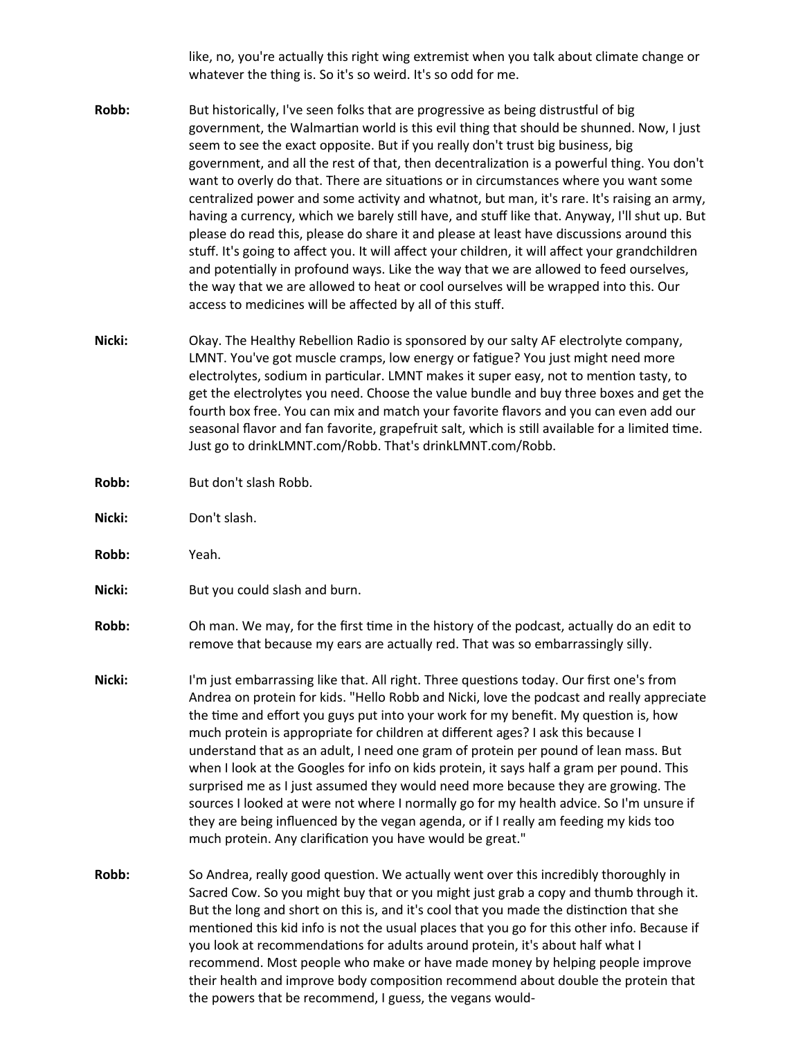like, no, you're actually this right wing extremist when you talk about climate change or whatever the thing is. So it's so weird. It's so odd for me.

- **Robb:** But historically, I've seen folks that are progressive as being distrustful of big government, the Walmartian world is this evil thing that should be shunned. Now, I just seem to see the exact opposite. But if you really don't trust big business, big government, and all the rest of that, then decentralization is a powerful thing. You don't want to overly do that. There are situations or in circumstances where you want some centralized power and some activity and whatnot, but man, it's rare. It's raising an army, having a currency, which we barely still have, and stuff like that. Anyway, I'll shut up. But please do read this, please do share it and please at least have discussions around this stuff. It's going to affect you. It will affect your children, it will affect your grandchildren and potentially in profound ways. Like the way that we are allowed to feed ourselves, the way that we are allowed to heat or cool ourselves will be wrapped into this. Our access to medicines will be affected by all of this stuff.
- **Nicki:** Okay. The Healthy Rebellion Radio is sponsored by our salty AF electrolyte company, LMNT. You've got muscle cramps, low energy or fatigue? You just might need more electrolytes, sodium in particular. LMNT makes it super easy, not to mention tasty, to get the electrolytes you need. Choose the value bundle and buy three boxes and get the fourth box free. You can mix and match your favorite flavors and you can even add our seasonal flavor and fan favorite, grapefruit salt, which is still available for a limited time. Just go to drinkLMNT.com/Robb. That's drinkLMNT.com/Robb.
- **Robb:** But don't slash Robb.
- **Nicki:** Don't slash.
- **Robb:** Yeah.
- **Nicki:** But you could slash and burn.
- **Robb:** Oh man. We may, for the first time in the history of the podcast, actually do an edit to remove that because my ears are actually red. That was so embarrassingly silly.
- **Nicki:** I'm just embarrassing like that. All right. Three questions today. Our first one's from Andrea on protein for kids. "Hello Robb and Nicki, love the podcast and really appreciate the time and effort you guys put into your work for my benefit. My question is, how much protein is appropriate for children at different ages? I ask this because I understand that as an adult, I need one gram of protein per pound of lean mass. But when I look at the Googles for info on kids protein, it says half a gram per pound. This surprised me as I just assumed they would need more because they are growing. The sources I looked at were not where I normally go for my health advice. So I'm unsure if they are being influenced by the vegan agenda, or if I really am feeding my kids too much protein. Any clarification you have would be great."
- **Robb:** So Andrea, really good question. We actually went over this incredibly thoroughly in Sacred Cow. So you might buy that or you might just grab a copy and thumb through it. But the long and short on this is, and it's cool that you made the distinction that she mentioned this kid info is not the usual places that you go for this other info. Because if you look at recommendations for adults around protein, it's about half what I recommend. Most people who make or have made money by helping people improve their health and improve body composition recommend about double the protein that the powers that be recommend, I guess, the vegans would-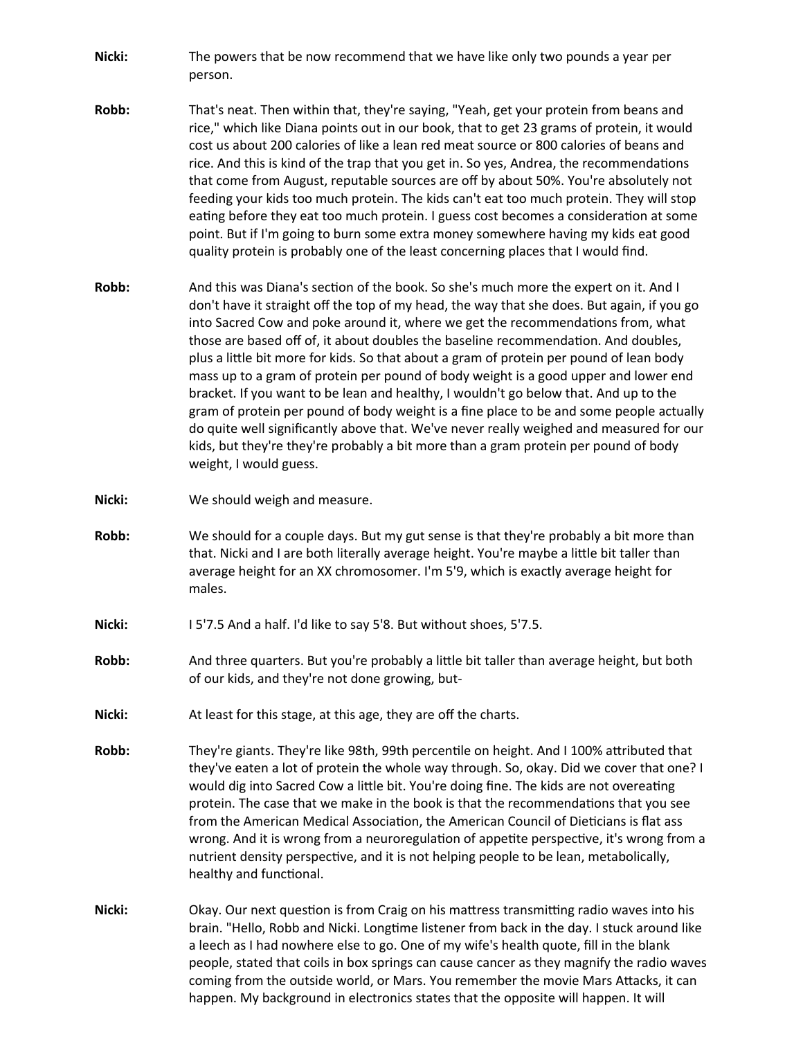- **Nicki:** The powers that be now recommend that we have like only two pounds a year per person.
- **Robb:** That's neat. Then within that, they're saying, "Yeah, get your protein from beans and rice," which like Diana points out in our book, that to get 23 grams of protein, it would cost us about 200 calories of like a lean red meat source or 800 calories of beans and rice. And this is kind of the trap that you get in. So yes, Andrea, the recommendations that come from August, reputable sources are off by about 50%. You're absolutely not feeding your kids too much protein. The kids can't eat too much protein. They will stop eating before they eat too much protein. I guess cost becomes a consideration at some point. But if I'm going to burn some extra money somewhere having my kids eat good quality protein is probably one of the least concerning places that I would find.
- **Robb:** And this was Diana's section of the book. So she's much more the expert on it. And I don't have it straight off the top of my head, the way that she does. But again, if you go into Sacred Cow and poke around it, where we get the recommendations from, what those are based off of, it about doubles the baseline recommendation. And doubles, plus a little bit more for kids. So that about a gram of protein per pound of lean body mass up to a gram of protein per pound of body weight is a good upper and lower end bracket. If you want to be lean and healthy, I wouldn't go below that. And up to the gram of protein per pound of body weight is a fine place to be and some people actually do quite well significantly above that. We've never really weighed and measured for our kids, but they're they're probably a bit more than a gram protein per pound of body weight, I would guess.
- **Nicki:** We should weigh and measure.
- **Robb:** We should for a couple days. But my gut sense is that they're probably a bit more than that. Nicki and I are both literally average height. You're maybe a little bit taller than average height for an XX chromosomer. I'm 5'9, which is exactly average height for males.
- **Nicki:** I 5'7.5 And a half. I'd like to say 5'8. But without shoes, 5'7.5.
- **Robb:** And three quarters. But you're probably a little bit taller than average height, but both of our kids, and they're not done growing, but-
- **Nicki:** At least for this stage, at this age, they are off the charts.
- **Robb:** They're giants. They're like 98th, 99th percentile on height. And I 100% attributed that they've eaten a lot of protein the whole way through. So, okay. Did we cover that one? I would dig into Sacred Cow a little bit. You're doing fine. The kids are not overeating protein. The case that we make in the book is that the recommendations that you see from the American Medical Association, the American Council of Dieticians is flat ass wrong. And it is wrong from a neuroregulation of appetite perspective, it's wrong from a nutrient density perspective, and it is not helping people to be lean, metabolically, healthy and functional.
- **Nicki:** Okay. Our next question is from Craig on his mattress transmitting radio waves into his brain. "Hello, Robb and Nicki. Longtime listener from back in the day. I stuck around like a leech as I had nowhere else to go. One of my wife's health quote, fill in the blank people, stated that coils in box springs can cause cancer as they magnify the radio waves coming from the outside world, or Mars. You remember the movie Mars Attacks, it can happen. My background in electronics states that the opposite will happen. It will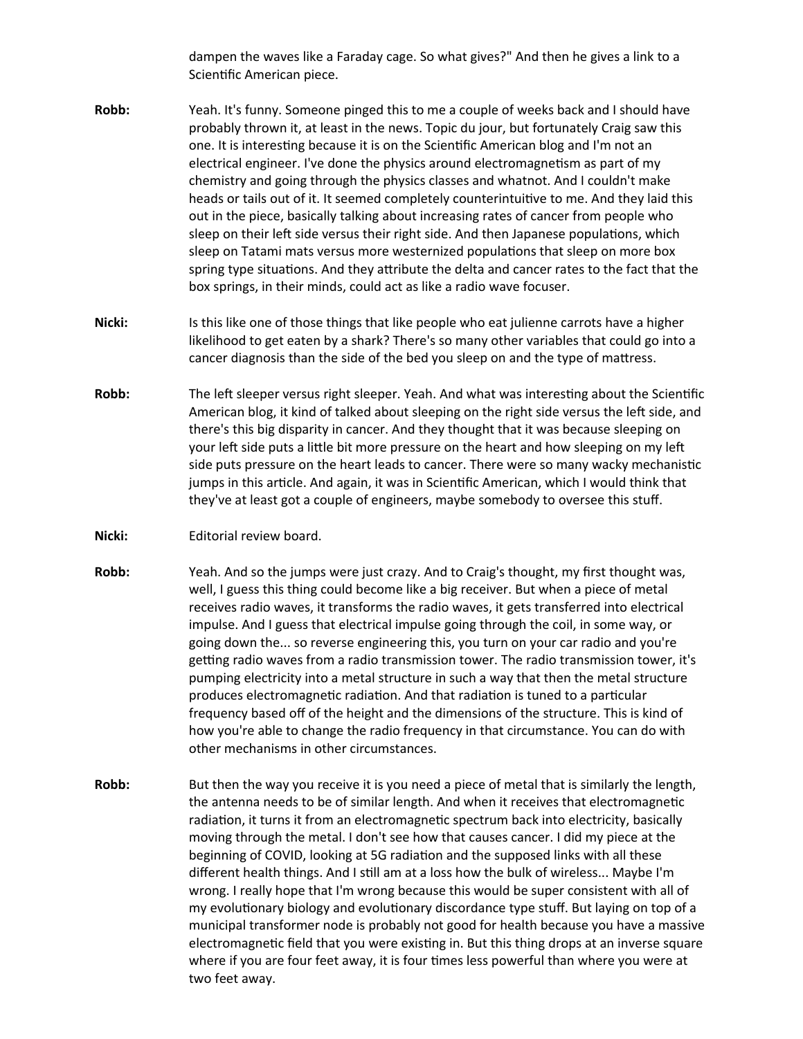dampen the waves like a Faraday cage. So what gives?" And then he gives a link to a Scientific American piece.

- **Robb:** Yeah. It's funny. Someone pinged this to me a couple of weeks back and I should have probably thrown it, at least in the news. Topic du jour, but fortunately Craig saw this one. It is interesting because it is on the Scientific American blog and I'm not an electrical engineer. I've done the physics around electromagnetism as part of my chemistry and going through the physics classes and whatnot. And I couldn't make heads or tails out of it. It seemed completely counterintuitive to me. And they laid this out in the piece, basically talking about increasing rates of cancer from people who sleep on their left side versus their right side. And then Japanese populations, which sleep on Tatami mats versus more westernized populations that sleep on more box spring type situations. And they attribute the delta and cancer rates to the fact that the box springs, in their minds, could act as like a radio wave focuser.
- **Nicki:** Is this like one of those things that like people who eat julienne carrots have a higher likelihood to get eaten by a shark? There's so many other variables that could go into a cancer diagnosis than the side of the bed you sleep on and the type of mattress.
- **Robb:** The left sleeper versus right sleeper. Yeah. And what was interesting about the Scientific American blog, it kind of talked about sleeping on the right side versus the left side, and there's this big disparity in cancer. And they thought that it was because sleeping on your left side puts a little bit more pressure on the heart and how sleeping on my left side puts pressure on the heart leads to cancer. There were so many wacky mechanistic jumps in this article. And again, it was in Scientific American, which I would think that they've at least got a couple of engineers, maybe somebody to oversee this stuff.
- **Nicki:** Editorial review board.
- **Robb:** Yeah. And so the jumps were just crazy. And to Craig's thought, my first thought was, well, I guess this thing could become like a big receiver. But when a piece of metal receives radio waves, it transforms the radio waves, it gets transferred into electrical impulse. And I guess that electrical impulse going through the coil, in some way, or going down the... so reverse engineering this, you turn on your car radio and you're getting radio waves from a radio transmission tower. The radio transmission tower, it's pumping electricity into a metal structure in such a way that then the metal structure produces electromagnetic radiation. And that radiation is tuned to a particular frequency based off of the height and the dimensions of the structure. This is kind of how you're able to change the radio frequency in that circumstance. You can do with other mechanisms in other circumstances.
- **Robb:** But then the way you receive it is you need a piece of metal that is similarly the length, the antenna needs to be of similar length. And when it receives that electromagnetic radiation, it turns it from an electromagnetic spectrum back into electricity, basically moving through the metal. I don't see how that causes cancer. I did my piece at the beginning of COVID, looking at 5G radiation and the supposed links with all these different health things. And I still am at a loss how the bulk of wireless... Maybe I'm wrong. I really hope that I'm wrong because this would be super consistent with all of my evolutionary biology and evolutionary discordance type stuff. But laying on top of a municipal transformer node is probably not good for health because you have a massive electromagnetic field that you were existing in. But this thing drops at an inverse square where if you are four feet away, it is four times less powerful than where you were at two feet away.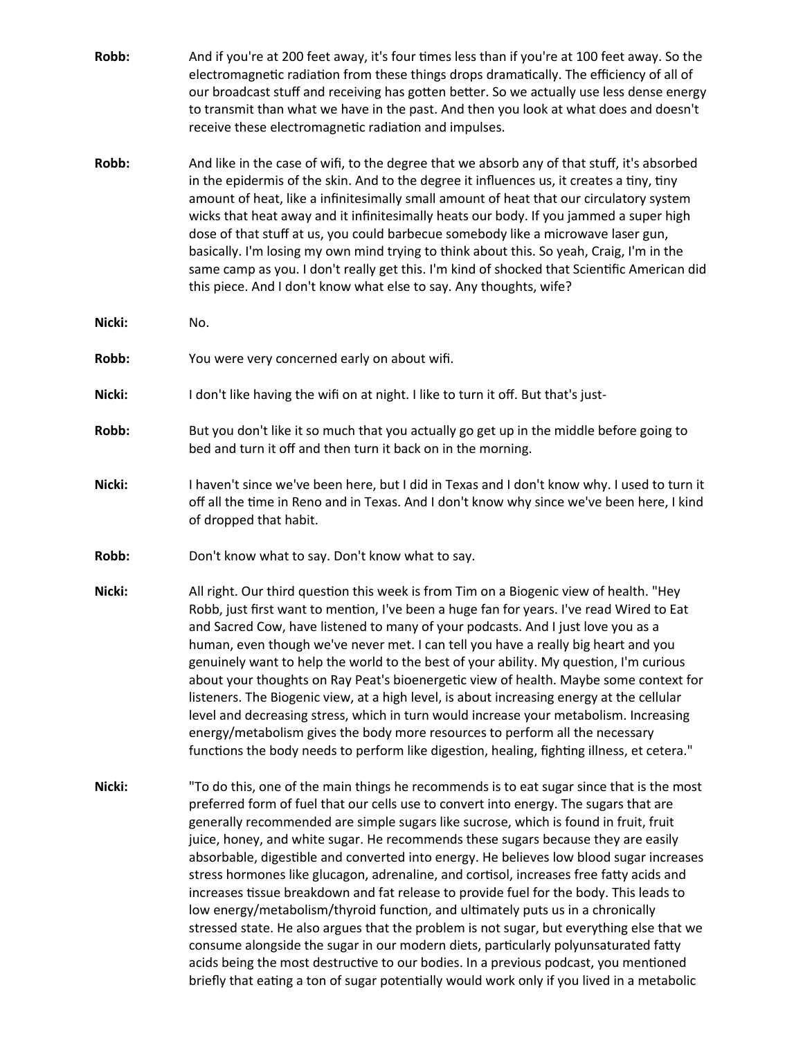| Robb: | And if you're at 200 feet away, it's four times less than if you're at 100 feet away. So the<br>electromagnetic radiation from these things drops dramatically. The efficiency of all of<br>our broadcast stuff and receiving has gotten better. So we actually use less dense energy<br>to transmit than what we have in the past. And then you look at what does and doesn't<br>receive these electromagnetic radiation and impulses.                                                                                                                                                                                                                                                                                             |
|-------|-------------------------------------------------------------------------------------------------------------------------------------------------------------------------------------------------------------------------------------------------------------------------------------------------------------------------------------------------------------------------------------------------------------------------------------------------------------------------------------------------------------------------------------------------------------------------------------------------------------------------------------------------------------------------------------------------------------------------------------|
| Robb: | And like in the case of wifi, to the degree that we absorb any of that stuff, it's absorbed<br>in the epidermis of the skin. And to the degree it influences us, it creates a tiny, tiny<br>amount of heat, like a infinitesimally small amount of heat that our circulatory system<br>wicks that heat away and it infinitesimally heats our body. If you jammed a super high<br>dose of that stuff at us, you could barbecue somebody like a microwave laser gun,<br>basically. I'm losing my own mind trying to think about this. So yeah, Craig, I'm in the<br>same camp as you. I don't really get this. I'm kind of shocked that Scientific American did<br>this piece. And I don't know what else to say. Any thoughts, wife? |

- **Nicki:** No.
- **Robb:** You were very concerned early on about wifi.
- **Nicki:** I don't like having the wifi on at night. I like to turn it off. But that's just-
- **Robb:** But you don't like it so much that you actually go get up in the middle before going to bed and turn it off and then turn it back on in the morning.
- **Nicki:** I haven't since we've been here, but I did in Texas and I don't know why. I used to turn it off all the time in Reno and in Texas. And I don't know why since we've been here, I kind of dropped that habit.
- **Robb:** Don't know what to say. Don't know what to say.
- **Nicki:** All right. Our third question this week is from Tim on a Biogenic view of health. "Hey Robb, just first want to mention, I've been a huge fan for years. I've read Wired to Eat and Sacred Cow, have listened to many of your podcasts. And I just love you as a human, even though we've never met. I can tell you have a really big heart and you genuinely want to help the world to the best of your ability. My question, I'm curious about your thoughts on Ray Peat's bioenergetic view of health. Maybe some context for listeners. The Biogenic view, at a high level, is about increasing energy at the cellular level and decreasing stress, which in turn would increase your metabolism. Increasing energy/metabolism gives the body more resources to perform all the necessary functions the body needs to perform like digestion, healing, fighting illness, et cetera."
- **Nicki:** "To do this, one of the main things he recommends is to eat sugar since that is the most preferred form of fuel that our cells use to convert into energy. The sugars that are generally recommended are simple sugars like sucrose, which is found in fruit, fruit juice, honey, and white sugar. He recommends these sugars because they are easily absorbable, digestible and converted into energy. He believes low blood sugar increases stress hormones like glucagon, adrenaline, and cortisol, increases free fatty acids and increases tissue breakdown and fat release to provide fuel for the body. This leads to low energy/metabolism/thyroid function, and ultimately puts us in a chronically stressed state. He also argues that the problem is not sugar, but everything else that we consume alongside the sugar in our modern diets, particularly polyunsaturated fatty acids being the most destructive to our bodies. In a previous podcast, you mentioned briefly that eating a ton of sugar potentially would work only if you lived in a metabolic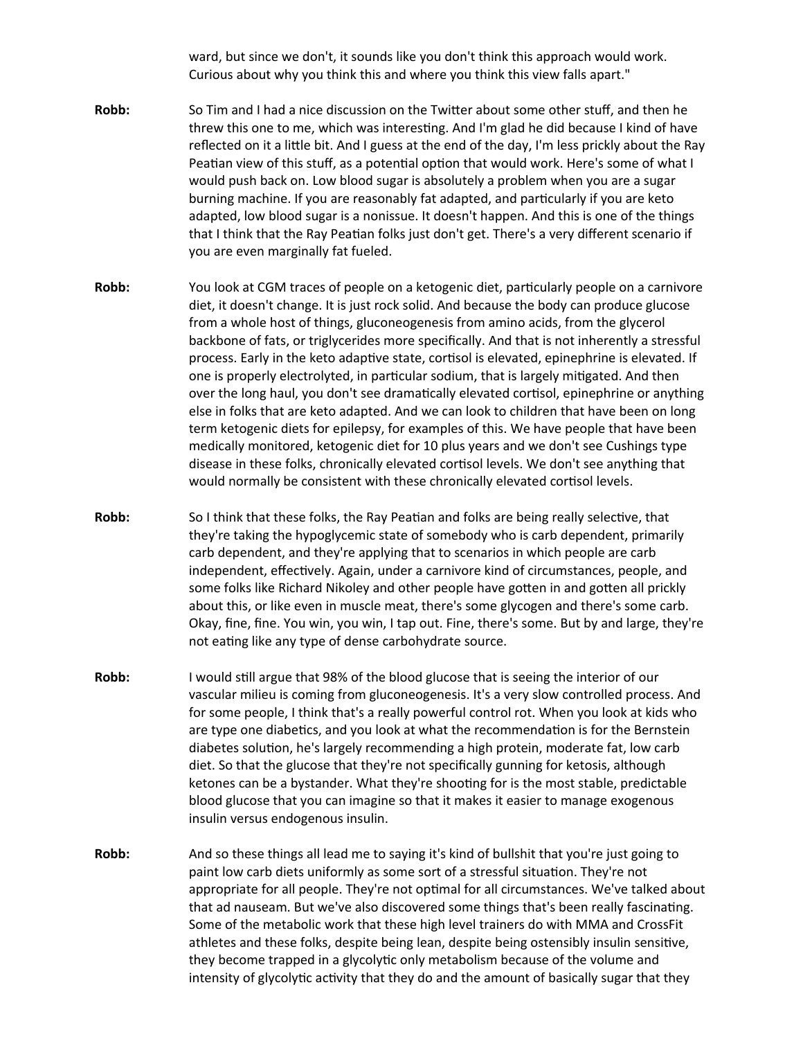ward, but since we don't, it sounds like you don't think this approach would work. Curious about why you think this and where you think this view falls apart."

- **Robb:** So Tim and I had a nice discussion on the Twitter about some other stuff, and then he threw this one to me, which was interesting. And I'm glad he did because I kind of have reflected on it a little bit. And I guess at the end of the day, I'm less prickly about the Ray Peatian view of this stuff, as a potential option that would work. Here's some of what I would push back on. Low blood sugar is absolutely a problem when you are a sugar burning machine. If you are reasonably fat adapted, and particularly if you are keto adapted, low blood sugar is a nonissue. It doesn't happen. And this is one of the things that I think that the Ray Peatian folks just don't get. There's a very different scenario if you are even marginally fat fueled.
- **Robb:** You look at CGM traces of people on a ketogenic diet, particularly people on a carnivore diet, it doesn't change. It is just rock solid. And because the body can produce glucose from a whole host of things, gluconeogenesis from amino acids, from the glycerol backbone of fats, or triglycerides more specifically. And that is not inherently a stressful process. Early in the keto adaptive state, cortisol is elevated, epinephrine is elevated. If one is properly electrolyted, in particular sodium, that is largely mitigated. And then over the long haul, you don't see dramatically elevated cortisol, epinephrine or anything else in folks that are keto adapted. And we can look to children that have been on long term ketogenic diets for epilepsy, for examples of this. We have people that have been medically monitored, ketogenic diet for 10 plus years and we don't see Cushings type disease in these folks, chronically elevated cortisol levels. We don't see anything that would normally be consistent with these chronically elevated cortisol levels.
- **Robb:** So I think that these folks, the Ray Peatian and folks are being really selective, that they're taking the hypoglycemic state of somebody who is carb dependent, primarily carb dependent, and they're applying that to scenarios in which people are carb independent, effectively. Again, under a carnivore kind of circumstances, people, and some folks like Richard Nikoley and other people have gotten in and gotten all prickly about this, or like even in muscle meat, there's some glycogen and there's some carb. Okay, fine, fine. You win, you win, I tap out. Fine, there's some. But by and large, they're not eating like any type of dense carbohydrate source.
- **Robb:** I would still argue that 98% of the blood glucose that is seeing the interior of our vascular milieu is coming from gluconeogenesis. It's a very slow controlled process. And for some people, I think that's a really powerful control rot. When you look at kids who are type one diabetics, and you look at what the recommendation is for the Bernstein diabetes solution, he's largely recommending a high protein, moderate fat, low carb diet. So that the glucose that they're not specifically gunning for ketosis, although ketones can be a bystander. What they're shooting for is the most stable, predictable blood glucose that you can imagine so that it makes it easier to manage exogenous insulin versus endogenous insulin.
- **Robb:** And so these things all lead me to saying it's kind of bullshit that you're just going to paint low carb diets uniformly as some sort of a stressful situation. They're not appropriate for all people. They're not optimal for all circumstances. We've talked about that ad nauseam. But we've also discovered some things that's been really fascinating. Some of the metabolic work that these high level trainers do with MMA and CrossFit athletes and these folks, despite being lean, despite being ostensibly insulin sensitive, they become trapped in a glycolytic only metabolism because of the volume and intensity of glycolytic activity that they do and the amount of basically sugar that they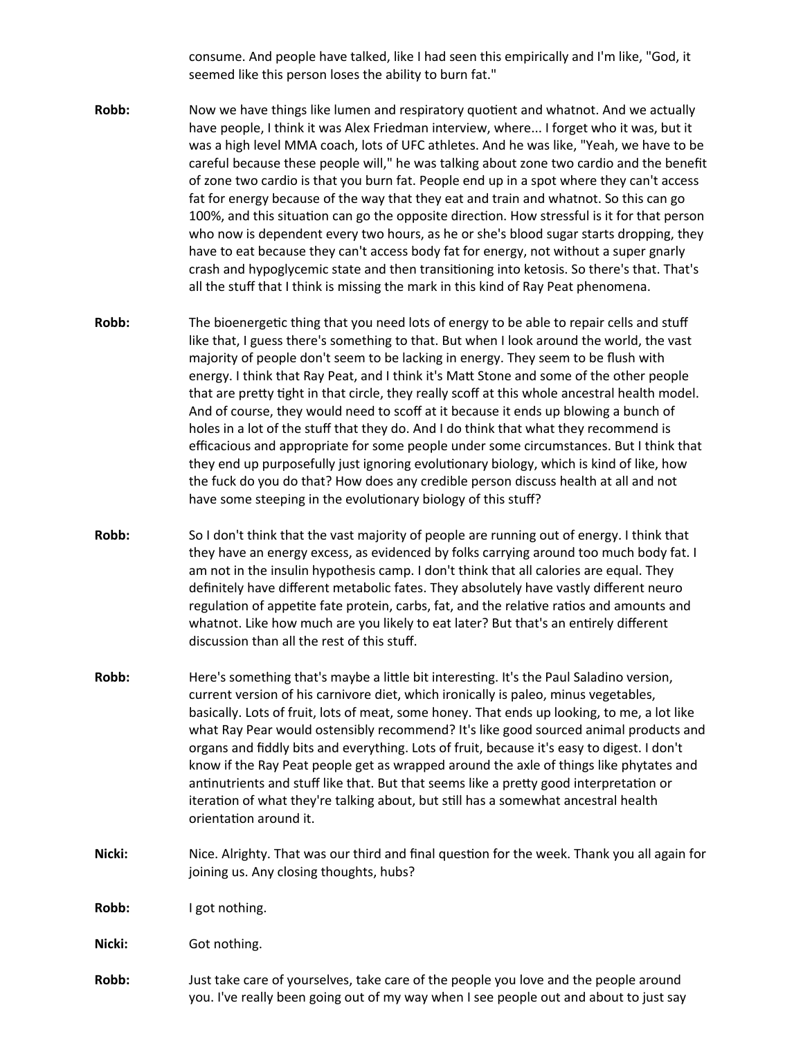consume. And people have talked, like I had seen this empirically and I'm like, "God, it seemed like this person loses the ability to burn fat."

- **Robb:** Now we have things like lumen and respiratory quotient and whatnot. And we actually have people, I think it was Alex Friedman interview, where... I forget who it was, but it was a high level MMA coach, lots of UFC athletes. And he was like, "Yeah, we have to be careful because these people will," he was talking about zone two cardio and the benefit of zone two cardio is that you burn fat. People end up in a spot where they can't access fat for energy because of the way that they eat and train and whatnot. So this can go 100%, and this situation can go the opposite direction. How stressful is it for that person who now is dependent every two hours, as he or she's blood sugar starts dropping, they have to eat because they can't access body fat for energy, not without a super gnarly crash and hypoglycemic state and then transitioning into ketosis. So there's that. That's all the stuff that I think is missing the mark in this kind of Ray Peat phenomena.
- **Robb:** The bioenergetic thing that you need lots of energy to be able to repair cells and stuff like that, I guess there's something to that. But when I look around the world, the vast majority of people don't seem to be lacking in energy. They seem to be flush with energy. I think that Ray Peat, and I think it's Matt Stone and some of the other people that are pretty tight in that circle, they really scoff at this whole ancestral health model. And of course, they would need to scoff at it because it ends up blowing a bunch of holes in a lot of the stuff that they do. And I do think that what they recommend is efficacious and appropriate for some people under some circumstances. But I think that they end up purposefully just ignoring evolutionary biology, which is kind of like, how the fuck do you do that? How does any credible person discuss health at all and not have some steeping in the evolutionary biology of this stuff?
- **Robb:** So I don't think that the vast majority of people are running out of energy. I think that they have an energy excess, as evidenced by folks carrying around too much body fat. I am not in the insulin hypothesis camp. I don't think that all calories are equal. They definitely have different metabolic fates. They absolutely have vastly different neuro regulation of appetite fate protein, carbs, fat, and the relative ratios and amounts and whatnot. Like how much are you likely to eat later? But that's an entirely different discussion than all the rest of this stuff.
- **Robb:** Here's something that's maybe a little bit interesting. It's the Paul Saladino version, current version of his carnivore diet, which ironically is paleo, minus vegetables, basically. Lots of fruit, lots of meat, some honey. That ends up looking, to me, a lot like what Ray Pear would ostensibly recommend? It's like good sourced animal products and organs and fiddly bits and everything. Lots of fruit, because it's easy to digest. I don't know if the Ray Peat people get as wrapped around the axle of things like phytates and antinutrients and stuff like that. But that seems like a pretty good interpretation or iteration of what they're talking about, but still has a somewhat ancestral health orientation around it.
- **Nicki:** Nice. Alrighty. That was our third and final question for the week. Thank you all again for joining us. Any closing thoughts, hubs?
- Robb: I got nothing.

**Nicki:** Got nothing.

**Robb:** Just take care of yourselves, take care of the people you love and the people around you. I've really been going out of my way when I see people out and about to just say